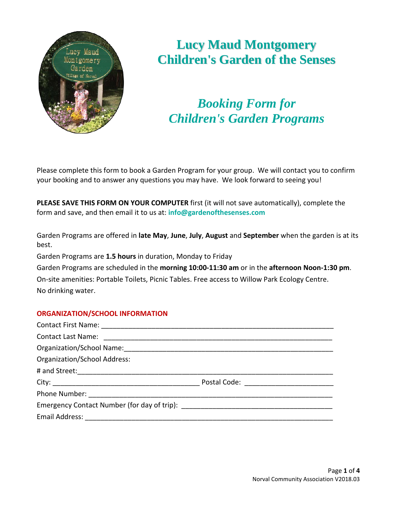

# **Lucy Maud Montgomery Children's Garden of the Senses**

*Booking Form for Children's Garden Programs*

Please complete this form to book a Garden Program for your group. We will contact you to confirm your booking and to answer any questions you may have. We look forward to seeing you!

**PLEASE SAVE THIS FORM ON YOUR COMPUTER** first (it will not save automatically), complete the form and save, and then email it to us at: **info@gardenofthesenses.com**

Garden Programs are offered in **late May**, **June**, **July**, **August** and **September** when the garden is at its best.

Garden Programs are **1.5 hours** in duration, Monday to Friday

Garden Programs are scheduled in the **morning 10:00-11:30 am** or in the **afternoon Noon-1:30 pm**.

On-site amenities: Portable Toilets, Picnic Tables. Free access to Willow Park Ecology Centre. No drinking water.

# **ORGANIZATION/SCHOOL INFORMATION**

| <b>Organization/School Address:</b> |  |
|-------------------------------------|--|
|                                     |  |
|                                     |  |
|                                     |  |
|                                     |  |
|                                     |  |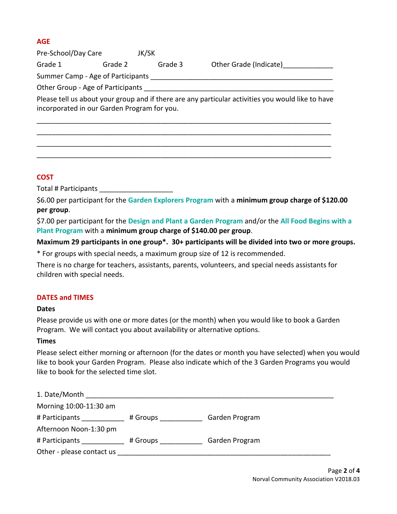# **AGE**

Pre-School/Day Care JK/SK Grade 1 Grade 2 Grade 3 Other Grade (Indicate) Summer Camp - Age of Participants Other Group - Age of Participants Please tell us about your group and if there are any particular activities you would like to have incorporated in our Garden Program for you. \_\_\_\_\_\_\_\_\_\_\_\_\_\_\_\_\_\_\_\_\_\_\_\_\_\_\_\_\_\_\_\_\_\_\_\_\_\_\_\_\_\_\_\_\_\_\_\_\_\_\_\_\_\_\_\_\_\_\_\_\_\_\_\_\_\_\_\_\_\_\_\_\_\_\_\_

\_\_\_\_\_\_\_\_\_\_\_\_\_\_\_\_\_\_\_\_\_\_\_\_\_\_\_\_\_\_\_\_\_\_\_\_\_\_\_\_\_\_\_\_\_\_\_\_\_\_\_\_\_\_\_\_\_\_\_\_\_\_\_\_\_\_\_\_\_\_\_\_\_\_\_\_ \_\_\_\_\_\_\_\_\_\_\_\_\_\_\_\_\_\_\_\_\_\_\_\_\_\_\_\_\_\_\_\_\_\_\_\_\_\_\_\_\_\_\_\_\_\_\_\_\_\_\_\_\_\_\_\_\_\_\_\_\_\_\_\_\_\_\_\_\_\_\_\_\_\_\_\_ \_\_\_\_\_\_\_\_\_\_\_\_\_\_\_\_\_\_\_\_\_\_\_\_\_\_\_\_\_\_\_\_\_\_\_\_\_\_\_\_\_\_\_\_\_\_\_\_\_\_\_\_\_\_\_\_\_\_\_\_\_\_\_\_\_\_\_\_\_\_\_\_\_\_\_\_

# **COST**

Total # Participants \_\_\_\_\_\_\_\_\_\_\_\_\_\_\_\_\_\_\_

\$6.00 per participant for the **Garden Explorers Program** with a **minimum group charge of \$120.00 per group**.

\$7.00 per participant for the **Design and Plant a Garden Program** and/or the **All Food Begins with a Plant Program** with a **minimum group charge of \$140.00 per group**.

# **Maximum 29 participants in one group\*. 30+ participants will be divided into two or more groups.**

\* For groups with special needs, a maximum group size of 12 is recommended.

There is no charge for teachers, assistants, parents, volunteers, and special needs assistants for children with special needs.

## **DATES and TIMES**

## **Dates**

Please provide us with one or more dates (or the month) when you would like to book a Garden Program. We will contact you about availability or alternative options.

# **Times**

Please select either morning or afternoon (for the dates or month you have selected) when you would like to book your Garden Program. Please also indicate which of the 3 Garden Programs you would like to book for the selected time slot.

| 1. Date/Month             |          |                |
|---------------------------|----------|----------------|
| Morning 10:00-11:30 am    |          |                |
| # Participants ____       | # Groups | Garden Program |
| Afternoon Noon-1:30 pm    |          |                |
| # Participants            | # Groups | Garden Program |
| Other - please contact us |          |                |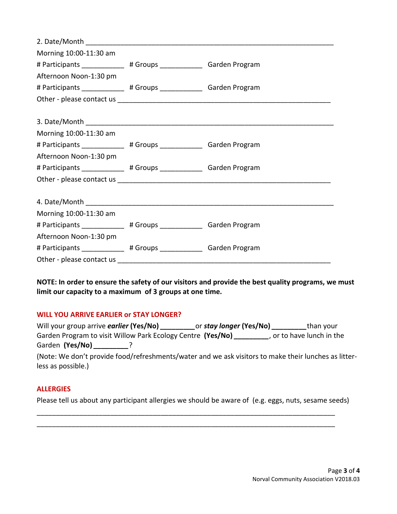| Morning 10:00-11:30 am                                               |  |
|----------------------------------------------------------------------|--|
| # Participants _____________ # Groups _______________ Garden Program |  |
| Afternoon Noon-1:30 pm                                               |  |
| # Participants _____________ # Groups _______________ Garden Program |  |
|                                                                      |  |
|                                                                      |  |
|                                                                      |  |
| Morning 10:00-11:30 am                                               |  |
| # Participants _____________ # Groups _______________ Garden Program |  |
| Afternoon Noon-1:30 pm                                               |  |
| # Participants _____________ # Groups ______________ Garden Program  |  |
|                                                                      |  |
|                                                                      |  |
|                                                                      |  |
| Morning 10:00-11:30 am                                               |  |
| # Participants _____________ # Groups _______________ Garden Program |  |
| Afternoon Noon-1:30 pm                                               |  |
| # Participants ____________ # Groups _____________ Garden Program    |  |
|                                                                      |  |

**NOTE: In order to ensure the safety of our visitors and provide the best quality programs, we must limit our capacity to a maximum of 3 groups at one time.**

## **WILL YOU ARRIVE EARLIER or STAY LONGER?**

| Will your group arrive earlier (Yes/No)                                                                                                                                                                                            | or <b>stay longer (Yes/No)</b> | than your                 |
|------------------------------------------------------------------------------------------------------------------------------------------------------------------------------------------------------------------------------------|--------------------------------|---------------------------|
| Garden Program to visit Willow Park Ecology Centre (Yes/No)                                                                                                                                                                        |                                | , or to have lunch in the |
| Garden (Yes/No)                                                                                                                                                                                                                    |                                |                           |
| $\mathcal{L}$ and the set of the set of the set of the set of the set of the set of the set of the set of the set of the set of the set of the set of the set of the set of the set of the set of the set of the set of the set of |                                |                           |

(Note: We don't provide food/refreshments/water and we ask visitors to make their lunches as litterless as possible.)

## **ALLERGIES**

Please tell us about any participant allergies we should be aware of (e.g. eggs, nuts, sesame seeds)

\_\_\_\_\_\_\_\_\_\_\_\_\_\_\_\_\_\_\_\_\_\_\_\_\_\_\_\_\_\_\_\_\_\_\_\_\_\_\_\_\_\_\_\_\_\_\_\_\_\_\_\_\_\_\_\_\_\_\_\_\_\_\_\_\_\_\_\_\_\_\_\_\_\_\_\_\_ \_\_\_\_\_\_\_\_\_\_\_\_\_\_\_\_\_\_\_\_\_\_\_\_\_\_\_\_\_\_\_\_\_\_\_\_\_\_\_\_\_\_\_\_\_\_\_\_\_\_\_\_\_\_\_\_\_\_\_\_\_\_\_\_\_\_\_\_\_\_\_\_\_\_\_\_\_